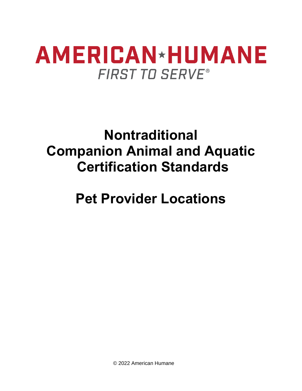## **Nontraditional Companion Animal and Aquatic Certification Standards**

## **Pet Provider Locations**

© 2022 American Humane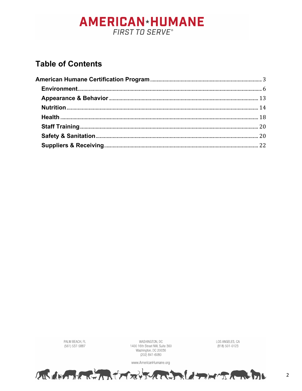### **Table of Contents**

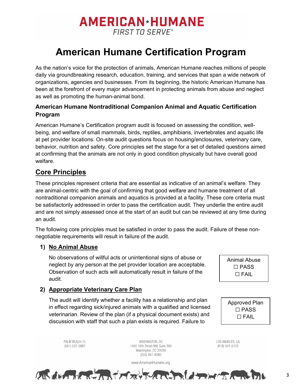### **American Humane Certification Program**

<span id="page-2-0"></span>As the nation's voice for the protection of animals, American Humane reaches millions of people daily via groundbreaking research, education, training, and services that span a wide network of organizations, agencies and businesses. From its beginning, the historic American Humane has been at the forefront of every major advancement in protecting animals from abuse and neglect as well as promoting the human-animal bond.

#### **American Humane Nontraditional Companion Animal and Aquatic Certification Program**

American Humane's Certification program audit is focused on assessing the condition, wellbeing, and welfare of small mammals, birds, reptiles, amphibians, invertebrates and aquatic life at pet provider locations. On-site audit questions focus on housing/enclosures, veterinary care, behavior, nutrition and safety. Core principles set the stage for a set of detailed questions aimed at confirming that the animals are not only in good condition physically but have overall good welfare.

#### **Core Principles**

These principles represent criteria that are essential as indicative of an animal's welfare. They are animal-centric with the goal of confirming that good welfare and humane treatment of all nontraditional companion animals and aquatics is provided at a facility. These core criteria must be satisfactorily addressed in order to pass the certification audit. They underlie the entire audit and are not simply assessed once at the start of an audit but can be reviewed at any time during an audit.

The following core principles must be satisfied in order to pass the audit. Failure of these nonnegotiable requirements will result in failure of the audit.

#### **1) No Animal Abuse**

No observations of willful acts or unintentional signs of abuse or neglect by any person at the pet provider location are acceptable. Observation of such acts will automatically result in failure of the audit.

Animal Abuse ☐ PASS ☐ FAIL

#### **2) Appropriate Veterinary Care Plan**

The audit will identify whether a facility has a relationship and plan in effect regarding sick/injured animals with a qualified and licensed veterinarian. Review of the plan (if a physical document exists) and discussion with staff that such a plan exists is required. Failure to

Approved Plan ☐ PASS ☐ FAIL

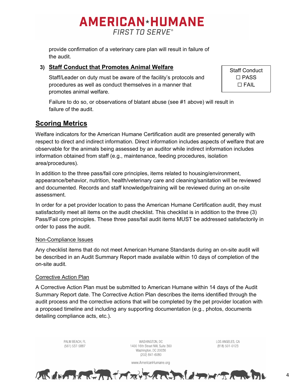provide confirmation of a veterinary care plan will result in failure of the audit.

#### **3) Staff Conduct that Promotes Animal Welfare**

Staff/Leader on duty must be aware of the facility's protocols and procedures as well as conduct themselves in a manner that promotes animal welfare.

Staff Conduct ☐ PASS ☐ FAIL

Failure to do so, or observations of blatant abuse (see #1 above) will result in failure of the audit.

#### **Scoring Metrics**

Welfare indicators for the American Humane Certification audit are presented generally with respect to direct and indirect information. Direct information includes aspects of welfare that are observable for the animals being assessed by an auditor while indirect information includes information obtained from staff (e.g., maintenance, feeding procedures, isolation area/procedures).

In addition to the three pass/fail core principles, items related to housing/environment, appearance/behavior, nutrition, health/veterinary care and cleaning/sanitation will be reviewed and documented. Records and staff knowledge/training will be reviewed during an on-site assessment.

In order for a pet provider location to pass the American Humane Certification audit, they must satisfactorily meet all items on the audit checklist. This checklist is in addition to the three (3) Pass/Fail core principles. These three pass/fail audit items MUST be addressed satisfactorily in order to pass the audit.

#### Non-Compliance Issues

Any checklist items that do not meet American Humane Standards during an on-site audit will be described in an Audit Summary Report made available within 10 days of completion of the on-site audit.

#### Corrective Action Plan

A Corrective Action Plan must be submitted to American Humane within 14 days of the Audit Summary Report date. The Corrective Action Plan describes the items identified through the audit process and the corrective actions that will be completed by the pet provider location with a proposed timeline and including any supporting documentation (e.g., photos, documents detailing compliance acts, etc.).

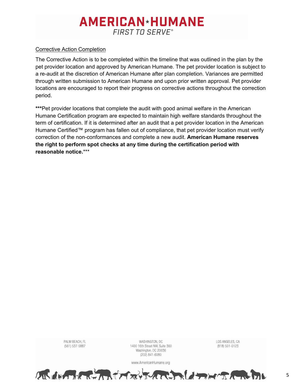#### Corrective Action Completion

PALM BEACH, FL

(561) 537-5887

The Corrective Action is to be completed within the timeline that was outlined in the plan by the pet provider location and approved by American Humane. The pet provider location is subject to a re-audit at the discretion of American Humane after plan completion. Variances are permitted through written submission to American Humane and upon prior written approval. Pet provider locations are encouraged to report their progress on corrective actions throughout the correction period.

\*\*\*Pet provider locations that complete the audit with good animal welfare in the American Humane Certification program are expected to maintain high welfare standards throughout the term of certification. If it is determined after an audit that a pet provider location in the American Humane Certified™ program has fallen out of compliance, that pet provider location must verify correction of the non-conformances and complete a new audit. **American Humane reserves the right to perform spot checks at any time during the certification period with reasonable notice.**\*\*\*



WASHINGTON, DC

1400 16th Street NW, Suite 360

LOS ANGELES, CA

(818) 501-0123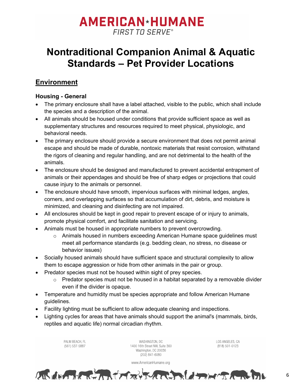### **Nontraditional Companion Animal & Aquatic Standards – Pet Provider Locations**

#### <span id="page-5-0"></span>**Environment**

#### **Housing - General**

- The primary enclosure shall have a label attached, visible to the public, which shall include the species and a description of the animal.
- All animals should be housed under conditions that provide sufficient space as well as supplementary structures and resources required to meet physical, physiologic, and behavioral needs.
- The primary enclosure should provide a secure environment that does not permit animal escape and should be made of durable, nontoxic materials that resist corrosion, withstand the rigors of cleaning and regular handling, and are not detrimental to the health of the animals.
- The enclosure should be designed and manufactured to prevent accidental entrapment of animals or their appendages and should be free of sharp edges or projections that could cause injury to the animals or personnel.
- The enclosure should have smooth, impervious surfaces with minimal ledges, angles, corners, and overlapping surfaces so that accumulation of dirt, debris, and moisture is minimized, and cleaning and disinfecting are not impaired.
- All enclosures should be kept in good repair to prevent escape of or injury to animals, promote physical comfort, and facilitate sanitation and servicing.
- Animals must be housed in appropriate numbers to prevent overcrowding.
	- $\circ$  Animals housed in numbers exceeding American Humane space guidelines must meet all performance standards (e.g. bedding clean, no stress, no disease or behavior issues)
- Socially housed animals should have sufficient space and structural complexity to allow them to escape aggression or hide from other animals in the pair or group.
- Predator species must not be housed within sight of prey species.
	- $\circ$  Predator species must not be housed in a habitat separated by a removable divider even if the divider is opaque.
- Temperature and humidity must be species appropriate and follow American Humane guidelines.
- Facility lighting must be sufficient to allow adequate cleaning and inspections.
- Lighting cycles for areas that have animals should support the animal's (mammals, birds, reptiles and aquatic life) normal circadian rhythm.

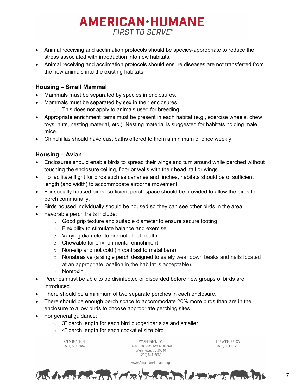- Animal receiving and acclimation protocols should be species-appropriate to reduce the stress associated with introduction into new habitats.
- Animal receiving and acclimation protocols should ensure diseases are not transferred from the new animals into the existing habitats.

#### **Housing – Small Mammal**

- Mammals must be separated by species in enclosures.
- Mammals must be separated by sex in their enclosures
	- $\circ$  This does not apply to animals used for breeding.
- Appropriate enrichment items must be present in each habitat (e.g., exercise wheels, chew toys, huts, nesting material, etc.). Nesting material is suggested for habitats holding male mice.
- Chinchillas should have dust baths offered to them a minimum of once weekly.

#### **Housing – Avian**

- Enclosures should enable birds to spread their wings and turn around while perched without touching the enclosure ceiling, floor or walls with their head, tail or wings.
- To facilitate flight for birds such as canaries and finches, habitats should be of sufficient length (and width) to accommodate airborne movement.
- For socially housed birds, sufficient perch space should be provided to allow the birds to perch communally.
- Birds housed individually should be housed so they can see other birds in the area.
- Favorable perch traits include:
	- o Good grip texture and suitable diameter to ensure secure footing
	- o Flexibility to stimulate balance and exercise
	- o Varying diameter to promote foot health
	- o Chewable for environmental enrichment
	- o Non-slip and not cold (in contrast to metal bars)
	- o Nonabrasive (a single perch designed to safely wear down beaks and nails located at an appropriate location in the habitat is acceptable).
	- o Nontoxic
- Perches must be able to be disinfected or discarded before new groups of birds are introduced.
- There should be a minimum of two separate perches in each enclosure.
- There should be enough perch space to accommodate 20% more birds than are in the enclosure to allow birds to choose appropriate perching sites.
- For general guidance:
	- $\circ$  3" perch length for each bird budgerigar size and smaller
	- o 4" perch length for each cockatiel size bird

PAI M REACH FL (561) 537-5887

WASHINGTON, DC 1400 16th Street NW, Suite 360 Washington, DC 20036 (202) 841-6080

www.AmericanHumane.org

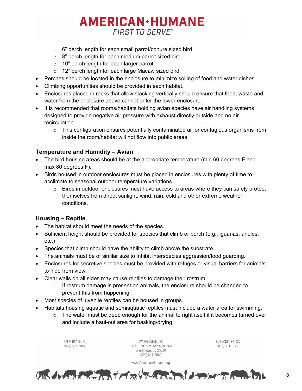- o 6" perch length for each small parrot/conure sized bird
- $\circ$  8" perch length for each medium parrot sized bird
- o 10" perch length for each larger parrot
- o 12" perch length for each large Macaw sized bird
- Perches should be located in the enclosure to minimize soiling of food and water dishes.
- Climbing opportunities should be provided in each habitat.
- Enclosures placed in racks that allow stacking vertically should ensure that food, waste and water from the enclosure above cannot enter the lower enclosure.
- It is recommended that rooms/habitats holding avian species have air handling systems designed to provide negative air pressure with exhaust directly outside and no air recirculation.
	- $\circ$  This configuration ensures potentially contaminated air or contagious organisms from inside the room/habitat will not flow into public areas.

#### **Temperature and Humidity – Avian**

- The bird housing areas should be at the appropriate temperature (min 60 degrees F and max 80 degrees F).
- Birds housed in outdoor enclosures must be placed in enclosures with plenty of time to acclimate to seasonal outdoor temperature variations.
	- $\circ$  Birds in outdoor enclosures must have access to areas where they can safely protect themselves from direct sunlight, wind, rain, cold and other extreme weather conditions.

#### **Housing – Reptile**

- The habitat should meet the needs of the species.
- Sufficient height should be provided for species that climb or perch (e.g., iguanas, anoles, etc.)
- Species that climb should have the ability to climb above the substrate.
- The animals must be of similar size to inhibit interspecies aggression/food guarding.
- Enclosures for secretive species must be provided with refuges or visual barriers for animals to hide from view.
- Clear walls on all sides may cause reptiles to damage their rostrum.
	- $\circ$  If rostrum damage is present on animals, the enclosure should be changed to prevent this from happening.
- Most species of juvenile reptiles can be housed in groups.
- Habitats housing aquatic and semiaquatic reptiles must include a water area for swimming.
	- o The water must be deep enough for the animal to right itself if it becomes turned over and include a haul-out area for basking/drying.

| PALM BEACH, FL<br>(561) 537-5887 | WASHINGTON, DC<br>1400 16th Street NW, Suite 360<br>Washington, DC 20036<br>(202) 841-6080 | LOS ANGELES, CA<br>(818) 501-0123 |
|----------------------------------|--------------------------------------------------------------------------------------------|-----------------------------------|
|                                  | www.AmericanHumane.org                                                                     |                                   |
|                                  | ないはまわれてはカメイオンないことはオメイカメイカルカル                                                               |                                   |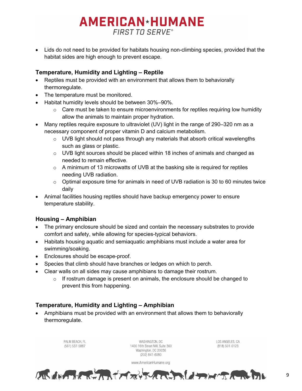• Lids do not need to be provided for habitats housing non-climbing species, provided that the habitat sides are high enough to prevent escape.

#### **Temperature, Humidity and Lighting – Reptile**

- Reptiles must be provided with an environment that allows them to behaviorally thermoregulate.
- The temperature must be monitored.
- Habitat humidity levels should be between 30%–90%.
	- $\circ$  Care must be taken to ensure microenvironments for reptiles requiring low humidity allow the animals to maintain proper hydration.
- Many reptiles require exposure to ultraviolet (UV) light in the range of 290–320 nm as a necessary component of proper vitamin D and calcium metabolism.
	- $\circ$  UVB light should not pass through any materials that absorb critical wavelengths such as glass or plastic.
	- $\circ$  UVB light sources should be placed within 18 inches of animals and changed as needed to remain effective.
	- $\circ$  A minimum of 13 microwatts of UVB at the basking site is required for reptiles needing UVB radiation.
	- o Optimal exposure time for animals in need of UVB radiation is 30 to 60 minutes twice daily
- Animal facilities housing reptiles should have backup emergency power to ensure temperature stability.

#### **Housing – Amphibian**

- The primary enclosure should be sized and contain the necessary substrates to provide comfort and safety, while allowing for species-typical behaviors.
- Habitats housing aquatic and semiaquatic amphibians must include a water area for swimming/soaking.
- Enclosures should be escape-proof.
- Species that climb should have branches or ledges on which to perch.
- Clear walls on all sides may cause amphibians to damage their rostrum.
	- $\circ$  If rostrum damage is present on animals, the enclosure should be changed to prevent this from happening.

#### **Temperature, Humidity and Lighting – Amphibian**

• Amphibians must be provided with an environment that allows them to behaviorally thermoregulate.

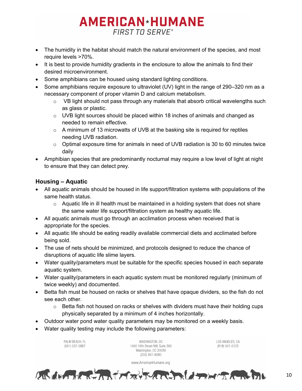- The humidity in the habitat should match the natural environment of the species, and most require levels >70%.
- It is best to provide humidity gradients in the enclosure to allow the animals to find their desired microenvironment.
- Some amphibians can be housed using standard lighting conditions.
- Some amphibians require exposure to ultraviolet (UV) light in the range of 290–320 nm as a necessary component of proper vitamin D and calcium metabolism.
	- $\circ$  VB light should not pass through any materials that absorb critical wavelengths such as glass or plastic.
	- $\circ$  UVB light sources should be placed within 18 inches of animals and changed as needed to remain effective.
	- o A minimum of 13 microwatts of UVB at the basking site is required for reptiles needing UVB radiation.
	- $\circ$  Optimal exposure time for animals in need of UVB radiation is 30 to 60 minutes twice daily
- Amphibian species that are predominantly nocturnal may require a low level of light at night to ensure that they can detect prey.

#### **Housing – Aquatic**

- All aquatic animals should be housed in life support/filtration systems with populations of the same health status.
	- $\circ$  Aquatic life in ill health must be maintained in a holding system that does not share the same water life support/filtration system as healthy aquatic life.
- All aquatic animals must go through an acclimation process when received that is appropriate for the species.
- All aquatic life should be eating readily available commercial diets and acclimated before being sold.
- The use of nets should be minimized, and protocols designed to reduce the chance of disruptions of aquatic life slime layers.
- Water quality/parameters must be suitable for the specific species housed in each separate aquatic system.
- Water quality/parameters in each aquatic system must be monitored regularly (minimum of twice weekly) and documented.
- Betta fish must be housed on racks or shelves that have opaque dividers, so the fish do not see each other.
	- o Betta fish not housed on racks or shelves with dividers must have their holding cups physically separated by a minimum of 4 inches horizontally.
- Outdoor water pond water quality parameters may be monitored on a weekly basis.
- Water quality testing may include the following parameters:

PAI M REACH FL (561) 537-5887

WASHINGTON, DC 1400 16th Street NW, Suite 360 Washington, DC 20036 (202) 841-6080

www.AmericanHumane.org

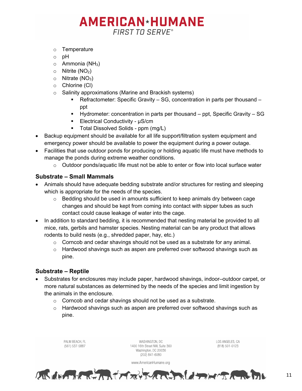- o Temperature
- o pH
- $\circ$  Ammonia (NH<sub>3</sub>)
- $\circ$  Nitrite (NO<sub>2</sub>)
- $\circ$  Nitrate (NO<sub>3</sub>)
- o Chlorine (Cl)
- o Salinity approximations (Marine and Brackish systems)
	- Refractometer: Specific Gravity SG, concentration in parts per thousand ppt
	- Hydrometer: concentration in parts per thousand ppt, Specific Gravity SG
	- Electrical Conductivity μS/cm
	- **Total Dissolved Solids ppm (mg/L)**
- Backup equipment should be available for all life support/filtration system equipment and emergency power should be available to power the equipment during a power outage.
- Facilities that use outdoor ponds for producing or holding aquatic life must have methods to manage the ponds during extreme weather conditions.
	- $\circ$  Outdoor ponds/aquatic life must not be able to enter or flow into local surface water

#### **Substrate – Small Mammals**

- Animals should have adequate bedding substrate and/or structures for resting and sleeping which is appropriate for the needs of the species.
	- $\circ$  Bedding should be used in amounts sufficient to keep animals dry between cage changes and should be kept from coming into contact with sipper tubes as such contact could cause leakage of water into the cage.
- In addition to standard bedding, it is recommended that nesting material be provided to all mice, rats, gerbils and hamster species. Nesting material can be any product that allows rodents to build nests (e.g., shredded paper, hay, etc.)
	- $\circ$  Corncob and cedar shavings should not be used as a substrate for any animal.
	- o Hardwood shavings such as aspen are preferred over softwood shavings such as pine.

#### **Substrate – Reptile**

- Substrates for enclosures may include paper, hardwood shavings, indoor–outdoor carpet, or more natural substances as determined by the needs of the species and limit ingestion by the animals in the enclosure.
	- o Corncob and cedar shavings should not be used as a substrate.
	- $\circ$  Hardwood shavings such as aspen are preferred over softwood shavings such as pine.

PAI M REACH. FL WASHINGTON, DC LOS ANGELES, CA (561) 537-5887 1400 16th Street NW, Suite 360 (818) 501-0123 Washington, DC 20036 (202) 841-6080 www.AmericanHumane.org ALL ANTIL REAR FOREST ARE A THE TATULA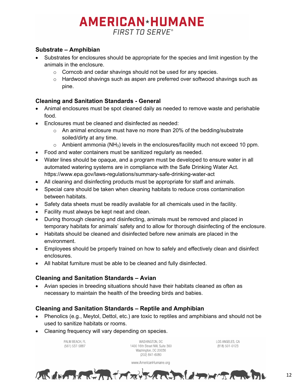#### **Substrate – Amphibian**

- Substrates for enclosures should be appropriate for the species and limit ingestion by the animals in the enclosure.
	- o Corncob and cedar shavings should not be used for any species.
	- o Hardwood shavings such as aspen are preferred over softwood shavings such as pine.

#### **Cleaning and Sanitation Standards - General**

- Animal enclosures must be spot cleaned daily as needed to remove waste and perishable food.
- Enclosures must be cleaned and disinfected as needed:
	- $\circ$  An animal enclosure must have no more than 20% of the bedding/substrate soiled/dirty at any time.
	- $\circ$  Ambient ammonia (NH<sub>3</sub>) levels in the enclosures/facility much not exceed 10 ppm.
- Food and water containers must be sanitized regularly as needed.
- Water lines should be opaque, and a program must be developed to ensure water in all automated watering systems are in compliance with the Safe Drinking Water Act. https://www.epa.gov/laws-regulations/summary-safe-drinking-water-act
- All cleaning and disinfecting products must be appropriate for staff and animals.
- Special care should be taken when cleaning habitats to reduce cross contamination between habitats.
- Safety data sheets must be readily available for all chemicals used in the facility.
- Facility must always be kept neat and clean.
- During thorough cleaning and disinfecting, animals must be removed and placed in temporary habitats for animals' safety and to allow for thorough disinfecting of the enclosure.
- Habitats should be cleaned and disinfected before new animals are placed in the environment.
- Employees should be properly trained on how to safely and effectively clean and disinfect enclosures.
- All habitat furniture must be able to be cleaned and fully disinfected.

#### **Cleaning and Sanitation Standards – Avian**

• Avian species in breeding situations should have their habitats cleaned as often as necessary to maintain the health of the breeding birds and babies.

#### **Cleaning and Sanitation Standards – Reptile and Amphibian**

- Phenolics (e.g., Meytol, Dettol, etc.) are toxic to reptiles and amphibians and should not be used to sanitize habitats or rooms.
- Cleaning frequency will vary depending on species.

PAI M REACH FL (561) 537-5887

WASHINGTON, DC 1400 16th Street NW, Suite 360 Washington, DC 20036 (202) 841-6080

www.AmericanHumane.org

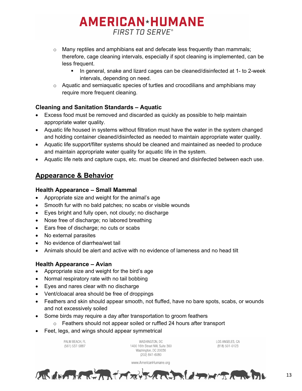- $\circ$  Many reptiles and amphibians eat and defecate less frequently than mammals; therefore, cage cleaning intervals, especially if spot cleaning is implemented, can be less frequent.
	- In general, snake and lizard cages can be cleaned/disinfected at 1- to 2-week intervals, depending on need.
- $\circ$  Aquatic and semiaquatic species of turtles and crocodilians and amphibians may require more frequent cleaning.

#### **Cleaning and Sanitation Standards – Aquatic**

- Excess food must be removed and discarded as quickly as possible to help maintain appropriate water quality.
- Aquatic life housed in systems without filtration must have the water in the system changed and holding container cleaned/disinfected as needed to maintain appropriate water quality.
- Aquatic life support/filter systems should be cleaned and maintained as needed to produce and maintain appropriate water quality for aquatic life in the system.
- Aquatic life nets and capture cups, etc. must be cleaned and disinfected between each use.

#### <span id="page-12-0"></span>**Appearance & Behavior**

#### **Health Appearance – Small Mammal**

- Appropriate size and weight for the animal's age
- Smooth fur with no bald patches; no scabs or visible wounds
- Eyes bright and fully open, not cloudy; no discharge
- Nose free of discharge; no labored breathing
- Ears free of discharge; no cuts or scabs
- No external parasites
- No evidence of diarrhea/wet tail
- Animals should be alert and active with no evidence of lameness and no head tilt

#### **Health Appearance – Avian**

- Appropriate size and weight for the bird's age
- Normal respiratory rate with no tail bobbing
- Eyes and nares clear with no discharge
- Vent/cloacal area should be free of droppings
- Feathers and skin should appear smooth, not fluffed, have no bare spots, scabs, or wounds and not excessively soiled
- Some birds may require a day after transportation to groom feathers
	- o Feathers should not appear soiled or ruffled 24 hours after transport
- Feet, legs, and wings should appear symmetrical

PAI M REACH FL (561) 537-5887

WASHINGTON, DC 1400 16th Street NW, Suite 360 Washington, DC 20036 (202) 841-6080

www.AmericanHumane.org

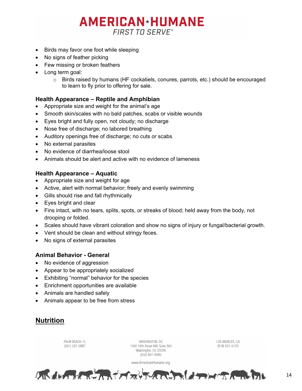- Birds may favor one foot while sleeping
- No signs of feather picking
- Few missing or broken feathers
- Long term goal:
	- $\circ$  Birds raised by humans (HF cockatiels, conures, parrots, etc.) should be encouraged to learn to fly prior to offering for sale.

#### **Health Appearance – Reptile and Amphibian**

- Appropriate size and weight for the animal's age
- Smooth skin/scales with no bald patches, scabs or visible wounds
- Eyes bright and fully open, not cloudy; no discharge
- Nose free of discharge; no labored breathing
- Auditory openings free of discharge; no cuts or scabs
- No external parasites
- No evidence of diarrhea/loose stool
- Animals should be alert and active with no evidence of lameness

#### **Health Appearance – Aquatic**

- Appropriate size and weight for age
- Active, alert with normal behavior; freely and evenly swimming
- Gills should rise and fall rhythmically
- Eyes bright and clear
- Fins intact, with no tears, splits, spots, or streaks of blood; held away from the body, not drooping or folded.
- Scales should have vibrant coloration and show no signs of injury or fungal/bacterial growth.
- Vent should be clean and without stringy feces.
- No signs of external parasites

#### **Animal Behavior - General**

- No evidence of aggression
- Appear to be appropriately socialized
- Exhibiting "normal" behavior for the species
- Enrichment opportunities are available
- Animals are handled safely
- Animals appear to be free from stress

#### <span id="page-13-0"></span>**Nutrition**

PALM BEACH, FL WASHINGTON, DC (561) 537-5887 1400 16th Street NW, Suite 360 Washington, DC 20036  $(202)$  841-6080 www.AmericanHumane.org

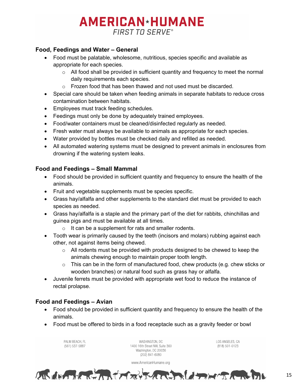#### **Food, Feedings and Water – General**

- Food must be palatable, wholesome, nutritious, species specific and available as appropriate for each species.
	- $\circ$  All food shall be provided in sufficient quantity and frequency to meet the normal daily requirements each species.
	- o Frozen food that has been thawed and not used must be discarded.
- Special care should be taken when feeding animals in separate habitats to reduce cross contamination between habitats.
- Employees must track feeding schedules.
- Feedings must only be done by adequately trained employees.
- Food/water containers must be cleaned/disinfected regularly as needed.
- Fresh water must always be available to animals as appropriate for each species.
- Water provided by bottles must be checked daily and refilled as needed.
- All automated watering systems must be designed to prevent animals in enclosures from drowning if the watering system leaks.

#### **Food and Feedings – Small Mammal**

- Food should be provided in sufficient quantity and frequency to ensure the health of the animals.
- Fruit and vegetable supplements must be species specific.
- Grass hay/alfalfa and other supplements to the standard diet must be provided to each species as needed.
- Grass hay/alfalfa is a staple and the primary part of the diet for rabbits, chinchillas and guinea pigs and must be available at all times.
	- $\circ$  It can be a supplement for rats and smaller rodents.
- Tooth wear is primarily caused by the teeth (incisors and molars) rubbing against each other, not against items being chewed.
	- $\circ$  All rodents must be provided with products designed to be chewed to keep the animals chewing enough to maintain proper tooth length.
	- $\circ$  This can be in the form of manufactured food, chew products (e.g. chew sticks or wooden branches) or natural food such as grass hay or alfalfa.
- Juvenile ferrets must be provided with appropriate wet food to reduce the instance of rectal prolapse.

#### **Food and Feedings – Avian**

- Food should be provided in sufficient quantity and frequency to ensure the health of the animals.
- Food must be offered to birds in a food receptacle such as a gravity feeder or bowl

PALM BEACH, FL (561) 537-5887

WASHINGTON, DC 1400 16th Street NW, Suite 360 Washington, DC 20036  $(202)$  841-6080

www.AmericanHumane.org

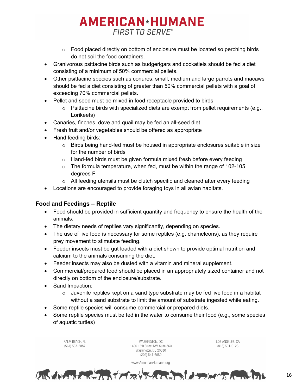- $\circ$  Food placed directly on bottom of enclosure must be located so perching birds do not soil the food containers.
- Granivorous psittacine birds such as budgerigars and cockatiels should be fed a diet consisting of a minimum of 50% commercial pellets.
- Other psittacine species such as conures, small, medium and large parrots and macaws should be fed a diet consisting of greater than 50% commercial pellets with a goal of exceeding 70% commercial pellets.
- Pellet and seed must be mixed in food receptacle provided to birds
	- $\circ$  Psittacine birds with specialized diets are exempt from pellet requirements (e.g., Lorikeets)
- Canaries, finches, dove and quail may be fed an all-seed diet
- Fresh fruit and/or vegetables should be offered as appropriate
- Hand feeding birds:
	- $\circ$  Birds being hand-fed must be housed in appropriate enclosures suitable in size for the number of birds
	- $\circ$  Hand-fed birds must be given formula mixed fresh before every feeding
	- $\circ$  The formula temperature, when fed, must be within the range of 102-105 degrees F
	- $\circ$  All feeding utensils must be clutch specific and cleaned after every feeding
- Locations are encouraged to provide foraging toys in all avian habitats.

#### **Food and Feedings – Reptile**

- Food should be provided in sufficient quantity and frequency to ensure the health of the animals.
- The dietary needs of reptiles vary significantly, depending on species.
- The use of live food is necessary for some reptiles (e.g. chameleons), as they require prey movement to stimulate feeding.
- Feeder insects must be gut loaded with a diet shown to provide optimal nutrition and calcium to the animals consuming the diet.
- Feeder insects may also be dusted with a vitamin and mineral supplement.
- Commercial/prepared food should be placed in an appropriately sized container and not directly on bottom of the enclosure/substrate.
- Sand Impaction:
	- $\circ$  Juvenile reptiles kept on a sand type substrate may be fed live food in a habitat without a sand substrate to limit the amount of substrate ingested while eating.
- Some reptile species will consume commercial or prepared diets.
- Some reptile species must be fed in the water to consume their food (e.g., some species of aquatic turtles)

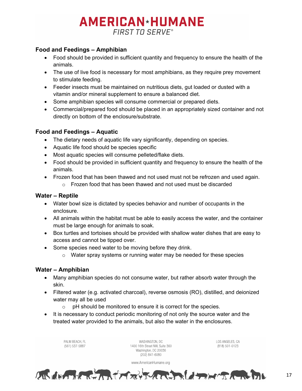#### **Food and Feedings – Amphibian**

- Food should be provided in sufficient quantity and frequency to ensure the health of the animals.
- The use of live food is necessary for most amphibians, as they require prey movement to stimulate feeding.
- Feeder insects must be maintained on nutritious diets, gut loaded or dusted with a vitamin and/or mineral supplement to ensure a balanced diet.
- Some amphibian species will consume commercial or prepared diets.
- Commercial/prepared food should be placed in an appropriately sized container and not directly on bottom of the enclosure/substrate.

#### **Food and Feedings – Aquatic**

- The dietary needs of aquatic life vary significantly, depending on species.
- Aquatic life food should be species specific
- Most aquatic species will consume pelleted/flake diets.
- Food should be provided in sufficient quantity and frequency to ensure the health of the animals.
- Frozen food that has been thawed and not used must not be refrozen and used again.
	- $\circ$  Frozen food that has been thawed and not used must be discarded

#### **Water – Reptile**

- Water bowl size is dictated by species behavior and number of occupants in the enclosure.
- All animals within the habitat must be able to easily access the water, and the container must be large enough for animals to soak.
- Box turtles and tortoises should be provided with shallow water dishes that are easy to access and cannot be tipped over.
- Some species need water to be moving before they drink.
	- o Water spray systems or running water may be needed for these species

#### **Water – Amphibian**

- Many amphibian species do not consume water, but rather absorb water through the skin.
- Filtered water (e.g. activated charcoal), reverse osmosis (RO), distilled, and deionized water may all be used
	- o pH should be monitored to ensure it is correct for the species.
- It is necessary to conduct periodic monitoring of not only the source water and the treated water provided to the animals, but also the water in the enclosures.

LOS ANGELES, CA PAI M REACH FL WASHINGTON, DC (561) 537-5887 1400 16th Street NW, Suite 360 (818) 501-0123 Washington, DC 20036  $(202)$  841-6080 www.AmericanHumane.org ALGEMENT CONTACTORY THREE CONTACT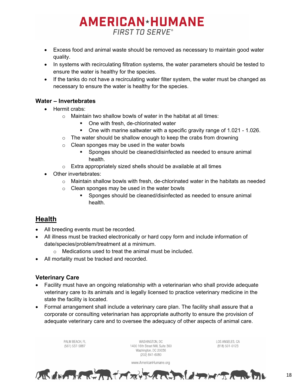- Excess food and animal waste should be removed as necessary to maintain good water quality.
- In systems with recirculating filtration systems, the water parameters should be tested to ensure the water is healthy for the species.
- If the tanks do not have a recirculating water filter system, the water must be changed as necessary to ensure the water is healthy for the species.

#### **Water – Invertebrates**

- Hermit crabs:
	- $\circ$  Maintain two shallow bowls of water in the habitat at all times:
		- One with fresh, de-chlorinated water
		- One with marine saltwater with a specific gravity range of 1.021 1.026.
	- $\circ$  The water should be shallow enough to keep the crabs from drowning
	- $\circ$  Clean sponges may be used in the water bowls
		- Sponges should be cleaned/disinfected as needed to ensure animal health.
	- $\circ$  Extra appropriately sized shells should be available at all times
- Other invertebrates:
	- $\circ$  Maintain shallow bowls with fresh, de-chlorinated water in the habitats as needed
	- o Clean sponges may be used in the water bowls
		- Sponges should be cleaned/disinfected as needed to ensure animal health.

#### <span id="page-17-0"></span>**Health**

- All breeding events must be recorded.
- All illness must be tracked electronically or hard copy form and include information of date/species/problem/treatment at a minimum.
	- o Medications used to treat the animal must be included.
- All mortality must be tracked and recorded.

#### **Veterinary Care**

- Facility must have an ongoing relationship with a veterinarian who shall provide adequate veterinary care to its animals and is legally licensed to practice veterinary medicine in the state the facility is located.
- Formal arrangement shall include a veterinary care plan. The facility shall assure that a corporate or consulting veterinarian has appropriate authority to ensure the provision of adequate veterinary care and to oversee the adequacy of other aspects of animal care.

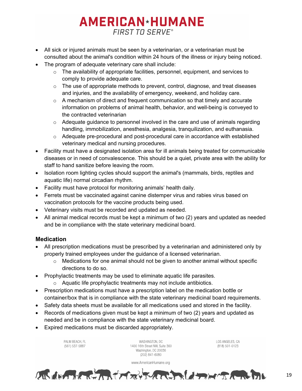- All sick or injured animals must be seen by a veterinarian, or a veterinarian must be consulted about the animal's condition within 24 hours of the illness or injury being noticed.
- The program of adequate veterinary care shall include:
	- $\circ$  The availability of appropriate facilities, personnel, equipment, and services to comply to provide adequate care.
	- $\circ$  The use of appropriate methods to prevent, control, diagnose, and treat diseases and injuries, and the availability of emergency, weekend, and holiday care.
	- o A mechanism of direct and frequent communication so that timely and accurate information on problems of animal health, behavior, and well-being is conveyed to the contracted veterinarian
	- $\circ$  Adequate guidance to personnel involved in the care and use of animals regarding handling, immobilization, anesthesia, analgesia, tranquilization, and euthanasia.
	- $\circ$  Adequate pre-procedural and post-procedural care in accordance with established veterinary medical and nursing procedures.
- Facility must have a designated isolation area for ill animals being treated for communicable diseases or in need of convalescence. This should be a quiet, private area with the ability for staff to hand sanitize before leaving the room.
- Isolation room lighting cycles should support the animal's (mammals, birds, reptiles and aquatic life) normal circadian rhythm.
- Facility must have protocol for monitoring animals' health daily.
- Ferrets must be vaccinated against canine distemper virus and rabies virus based on vaccination protocols for the vaccine products being used.
- Veterinary visits must be recorded and updated as needed.
- All animal medical records must be kept a minimum of two (2) years and updated as needed and be in compliance with the state veterinary medicinal board.

#### **Medication**

- All prescription medications must be prescribed by a veterinarian and administered only by properly trained employees under the guidance of a licensed veterinarian.
	- $\circ$  Medications for one animal should not be given to another animal without specific directions to do so.
- Prophylactic treatments may be used to eliminate aquatic life parasites.
	- o Aquatic life prophylactic treatments may not include antibiotics.
- Prescription medications must have a prescription label on the medication bottle or container/box that is in compliance with the state veterinary medicinal board requirements.
- Safety data sheets must be available for all medications used and stored in the facility.
- Records of medications given must be kept a minimum of two (2) years and updated as needed and be in compliance with the state veterinary medicinal board.
- Expired medications must be discarded appropriately.

PAI M REACH FL (561) 537-5887

WASHINGTON, DC 1400 16th Street NW, Suite 360 Washington, DC 20036 (202) 841-6080

LOS ANGELES, CA (818) 501-0123



www.AmericanHumane.org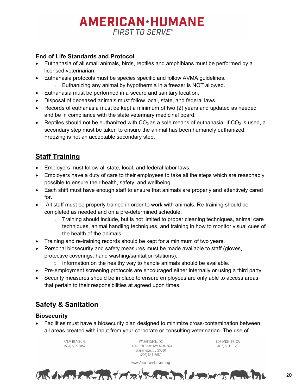#### **End of Life Standards and Protocol**

- Euthanasia of all small animals, birds, reptiles and amphibians must be performed by a licensed veterinarian.
- Euthanasia protocols must be species specific and follow AVMA guidelines.
	- $\circ$  Euthanizing any animal by hypothermia in a freezer is NOT allowed.
- Euthanasia must be performed in a secure and sanitary location.
- Disposal of deceased animals must follow local, state, and federal laws.
- Records of euthanasia must be kept a minimum of two (2) years and updated as needed and be in compliance with the state veterinary medicinal board.
- Reptiles should not be euthanized with  $CO<sub>2</sub>$  as a sole means of euthanasia. If  $CO<sub>2</sub>$  is used, a secondary step must be taken to ensure the animal has been humanely euthanized. Freezing is not an acceptable secondary step.

#### <span id="page-19-0"></span>**Staff Training**

- Employers must follow all state, local, and federal labor laws.
- Employers have a duty of care to their employees to take all the steps which are reasonably possible to ensure their health, safety, and wellbeing.
- Each shift must have enough staff to ensure that animals are properly and attentively cared for.
- All staff must be properly trained in order to work with animals. Re-training should be completed as needed and on a pre-determined schedule.
	- $\circ$  Training should include, but is not limited to proper cleaning techniques, animal care techniques, animal handling techniques, and training in how to monitor visual cues of the health of the animals.
- Training and re-training records should be kept for a minimum of two years.
- Personal biosecurity and safety measures must be made available to staff (gloves, protective coverings, hand washing/sanitation stations).
	- $\circ$  Information on the healthy way to handle animals should be available.
- Pre-employment screening protocols are encouraged either internally or using a third party.
- Security measures should be in place to ensure employees are only able to access areas that pertain to their responsibilities at agreed upon times.

#### <span id="page-19-1"></span>**Safety & Sanitation**

#### **Biosecurity**

• Facilities must have a biosecurity plan designed to minimize cross-contamination between all areas created with input from your corporate or consulting veterinarian. The use of

> PALM BEACH, FL (561) 537-5887

WASHINGTON, DC 1400 16th Street NW, Suite 360 Washington, DC 20036 (202) 841-6080

LOS ANGELES, CA (818) 501-0123



www.AmericanHumane.org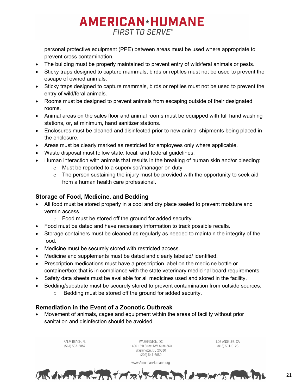personal protective equipment (PPE) between areas must be used where appropriate to prevent cross contamination.

- The building must be properly maintained to prevent entry of wild/feral animals or pests.
- Sticky traps designed to capture mammals, birds or reptiles must not be used to prevent the escape of owned animals.
- Sticky traps designed to capture mammals, birds or reptiles must not be used to prevent the entry of wild/feral animals.
- Rooms must be designed to prevent animals from escaping outside of their designated rooms.
- Animal areas on the sales floor and animal rooms must be equipped with full hand washing stations, or, at minimum, hand sanitizer stations.
- Enclosures must be cleaned and disinfected prior to new animal shipments being placed in the enclosure.
- Areas must be clearly marked as restricted for employees only where applicable.
- Waste disposal must follow state, local, and federal guidelines.
- Human interaction with animals that results in the breaking of human skin and/or bleeding:
	- o Must be reported to a supervisor/manager on duty
	- $\circ$  The person sustaining the injury must be provided with the opportunity to seek aid from a human health care professional.

#### **Storage of Food, Medicine, and Bedding**

- All food must be stored properly in a cool and dry place sealed to prevent moisture and vermin access.
	- o Food must be stored off the ground for added security.
- Food must be dated and have necessary information to track possible recalls.
- Storage containers must be cleaned as regularly as needed to maintain the integrity of the food.
- Medicine must be securely stored with restricted access.
- Medicine and supplements must be dated and clearly labeled/ identified.
- Prescription medications must have a prescription label on the medicine bottle or container/box that is in compliance with the state veterinary medicinal board requirements.
- Safety data sheets must be available for all medicines used and stored in the facility.
- Bedding/substrate must be securely stored to prevent contamination from outside sources.
	- o Bedding must be stored off the ground for added security.

#### **Remediation in the Event of a Zoonotic Outbreak**

• Movement of animals, cages and equipment within the areas of facility without prior sanitation and disinfection should be avoided.

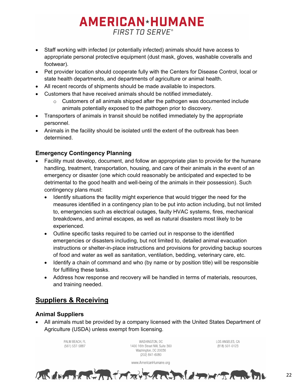- Staff working with infected (or potentially infected) animals should have access to appropriate personal protective equipment (dust mask, gloves, washable coveralls and footwear).
- Pet provider location should cooperate fully with the Centers for Disease Control, local or state health departments, and departments of agriculture or animal health.
- All recent records of shipments should be made available to inspectors.
- Customers that have received animals should be notified immediately.
	- $\circ$  Customers of all animals shipped after the pathogen was documented include animals potentially exposed to the pathogen prior to discovery.
- Transporters of animals in transit should be notified immediately by the appropriate personnel.
- Animals in the facility should be isolated until the extent of the outbreak has been determined.

#### **Emergency Contingency Planning**

- Facility must develop, document, and follow an appropriate plan to provide for the humane handling, treatment, transportation, housing, and care of their animals in the event of an emergency or disaster (one which could reasonably be anticipated and expected to be detrimental to the good health and well-being of the animals in their possession). Such contingency plans must:
	- Identify situations the facility might experience that would trigger the need for the measures identified in a contingency plan to be put into action including, but not limited to, emergencies such as electrical outages, faulty HVAC systems, fires, mechanical breakdowns, and animal escapes, as well as natural disasters most likely to be experienced.
	- Outline specific tasks required to be carried out in response to the identified emergencies or disasters including, but not limited to, detailed animal evacuation instructions or shelter-in-place instructions and provisions for providing backup sources of food and water as well as sanitation, ventilation, bedding, veterinary care, etc.
	- Identify a chain of command and who (by name or by position title) will be responsible for fulfilling these tasks.
	- Address how response and recovery will be handled in terms of materials, resources, and training needed.

#### <span id="page-21-0"></span>**Suppliers & Receiving**

#### **Animal Suppliers**

• All animals must be provided by a company licensed with the United States Department of Agriculture (USDA) unless exempt from licensing.

> PAI M REACH FL (561) 537-5887

WASHINGTON, DC 1400 16th Street NW, Suite 360 Washington, DC 20036 (202) 841-6080

www.AmericanHumane.org